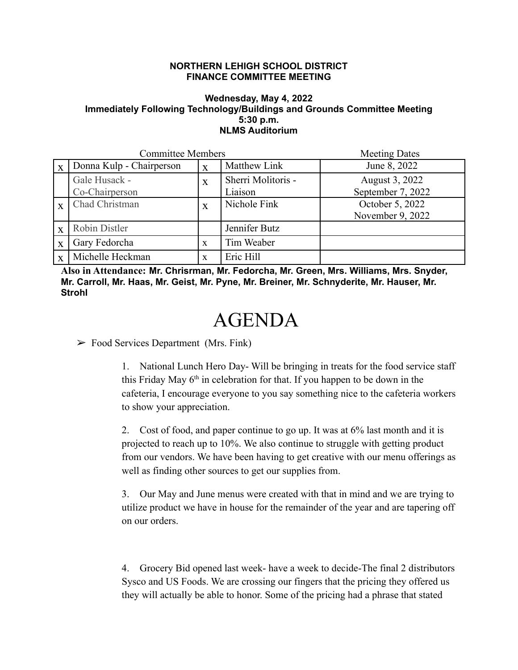## **NORTHERN LEHIGH SCHOOL DISTRICT FINANCE COMMITTEE MEETING**

## **Wednesday, May 4, 2022 Immediately Following Technology/Buildings and Grounds Committee Meeting 5:30 p.m. NLMS Auditorium**

| <b>Committee Members</b> |                                 |   |                               | <b>Meeting Dates</b>                |
|--------------------------|---------------------------------|---|-------------------------------|-------------------------------------|
| $\mathbf{X}$             | Donna Kulp - Chairperson        | X | Matthew Link                  | June 8, 2022                        |
|                          | Gale Husack -<br>Co-Chairperson | X | Sherri Molitoris -<br>Liaison | August 3, 2022<br>September 7, 2022 |
| $\overline{\mathbf{X}}$  | Chad Christman                  | X | Nichole Fink                  | October 5, 2022<br>November 9, 2022 |
| $\mathbf{X}$             | Robin Distler                   |   | Jennifer Butz                 |                                     |
| $\overline{X}$           | Gary Fedorcha                   | X | Tim Weaber                    |                                     |
| X                        | Michelle Heckman                | X | Eric Hill                     |                                     |

**Also in Attendance: Mr. Chrisrman, Mr. Fedorcha, Mr. Green, Mrs. Williams, Mrs. Snyder, Mr. Carroll, Mr. Haas, Mr. Geist, Mr. Pyne, Mr. Breiner, Mr. Schnyderite, Mr. Hauser, Mr. Strohl**

## AGENDA

 $\triangleright$  Food Services Department (Mrs. Fink)

1. National Lunch Hero Day- Will be bringing in treats for the food service staff this Friday May  $6<sup>th</sup>$  in celebration for that. If you happen to be down in the cafeteria, I encourage everyone to you say something nice to the cafeteria workers to show your appreciation.

2. Cost of food, and paper continue to go up. It was at 6% last month and it is projected to reach up to 10%. We also continue to struggle with getting product from our vendors. We have been having to get creative with our menu offerings as well as finding other sources to get our supplies from.

3. Our May and June menus were created with that in mind and we are trying to utilize product we have in house for the remainder of the year and are tapering off on our orders.

4. Grocery Bid opened last week- have a week to decide-The final 2 distributors Sysco and US Foods. We are crossing our fingers that the pricing they offered us they will actually be able to honor. Some of the pricing had a phrase that stated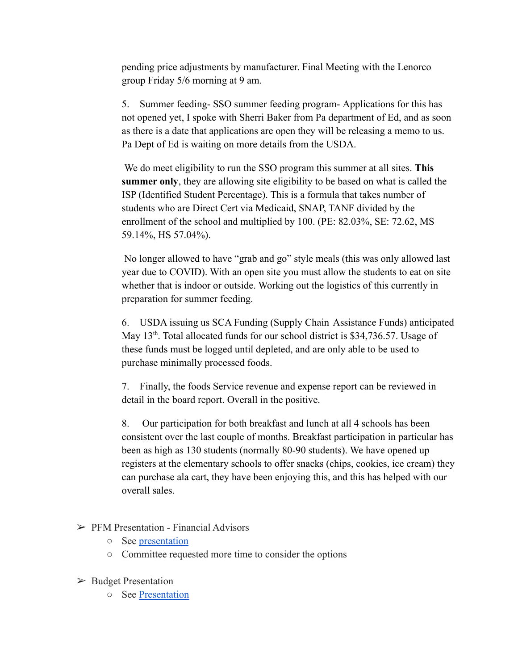pending price adjustments by manufacturer. Final Meeting with the Lenorco group Friday 5/6 morning at 9 am.

5. Summer feeding- SSO summer feeding program- Applications for this has not opened yet, I spoke with Sherri Baker from Pa department of Ed, and as soon as there is a date that applications are open they will be releasing a memo to us. Pa Dept of Ed is waiting on more details from the USDA.

We do meet eligibility to run the SSO program this summer at all sites. **This summer only**, they are allowing site eligibility to be based on what is called the ISP (Identified Student Percentage). This is a formula that takes number of students who are Direct Cert via Medicaid, SNAP, TANF divided by the enrollment of the school and multiplied by 100. (PE: 82.03%, SE: 72.62, MS 59.14%, HS 57.04%).

No longer allowed to have "grab and go" style meals (this was only allowed last year due to COVID). With an open site you must allow the students to eat on site whether that is indoor or outside. Working out the logistics of this currently in preparation for summer feeding.

6. USDA issuing us SCA Funding (Supply Chain Assistance Funds) anticipated May 13<sup>th</sup>. Total allocated funds for our school district is \$34,736.57. Usage of these funds must be logged until depleted, and are only able to be used to purchase minimally processed foods.

7. Finally, the foods Service revenue and expense report can be reviewed in detail in the board report. Overall in the positive.

8. Our participation for both breakfast and lunch at all 4 schools has been consistent over the last couple of months. Breakfast participation in particular has been as high as 130 students (normally 80-90 students). We have opened up registers at the elementary schools to offer snacks (chips, cookies, ice cream) they can purchase ala cart, they have been enjoying this, and this has helped with our overall sales.

- $\triangleright$  PFM Presentation Financial Advisors
	- See [presentation](https://drive.google.com/file/d/1XTzwCt10ApkbYYtctWAuWPf_TpbY4hE2/view?usp=sharing)
	- Committee requested more time to consider the options
- ➢ Budget Presentation
	- See [Presentation](https://drive.google.com/file/d/1UVD_BOKWqEByg16mluSyC354YKdZMOno/view?usp=sharing)